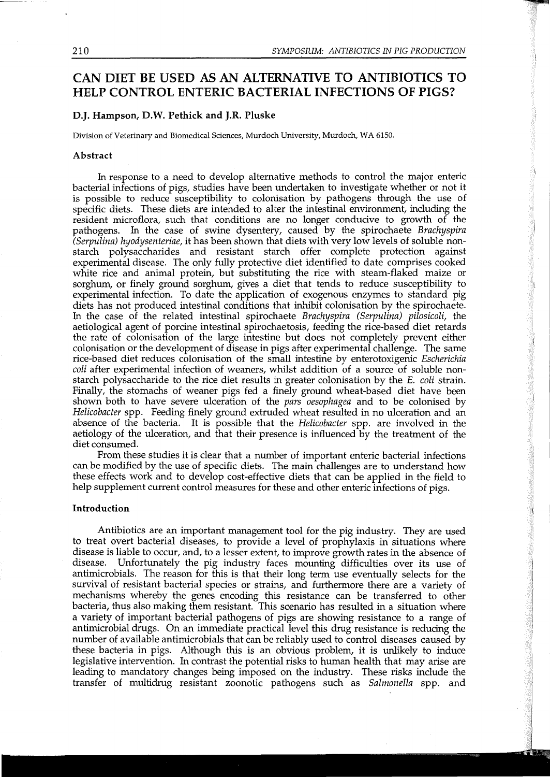# CAN DIET BE USED AS AN ALTERNATIVE TO ANTIBIOTICS TO HELP CONTROL ENTERIC BACTERIAL INFECTIONS OF PIGS?

## D.J. Hampson, D.W. Pethick and J.R. Pluske

Division of Veterinary and Biomedical Sciences, Murdoch University, Murdoch, WA 6150.

#### Abstract

In response to a need to develop alternative methods to control the major enteric bacterial infections of pigs, studies have been undertaken to investigate whether or not it is possible to reduce susceptibility to colonisation by pathogens through the use of specific diets. These diets are intended to alter the intestinal environment, including the resident microflora, such that conditions are no longer conducive to growth of the pathogens. In the case of swine dysentery, caused by the spirochaete *Brachyspira (Serpulina) hyodysenteriae,* it has been shown that diets with very low levels of soluble nonstarch polysaccharides and resistant starch offer complete protection against experimental disease. The only fully protective diet identified to date comprises cooked white rice and animal protein, but substituting the rice with steam-flaked maize or sorghum, or finely ground sorghum, gives a diet that tends to reduce susceptibility to experimental infection. To date the application of exogenous enzymes to standard pig diets has not produced intestinal conditions that inhibit colonisation by the spirochaete. In the case of the related intestinal spirochaete *Brachyspira (Serpulina) pilosicoli,* the aetiological agent of porcine intestinal spirochaetosis, feeding the rice-based diet retards the rate of colonisation of the large intestine but does not completely prevent either colonisation or the development of disease in pigs after experimental challenge. The same rice-based diet reduces colonisation of the small intestine by enterotoxigenic *Escherichia coli* after experimental infection of weaners, whilst addition of a source of soluble nonstarch polysaccharide to the rice diet results in greater colonisation by the *E. coli* strain. Finally, the stomachs of weaner pigs fed a finely ground wheat-based diet have been shown both to have severe ulceration of the *pars oesophagea* and to be colonised by *Helicobacter* spp. Feeding finely ground extruded wheat resulted in no ulceration and an absence of the bacteria. It is possible that the *Helicobacter* spp. are involved in the aetiology of the ulceration, and that their presence is influenced by the treatment of the diet consumed.

From these studies it is clear that a number of important enteric bacterial infections can be modified by the use of specific diets. The main challenges are to understand how these effects work and to develop cost-effective diets that can be applied in the field to help supplement current control measures for these and other enteric infections of pigs.

#### Introduction

Antibiotics are an important management tool for the pig industry. They are used to treat overt bacterial diseases, to provide a level of prophylaxis in situations where disease is liable to occur, and, to a lesser extent, to improve growth rates in the absence of disease. Unfortunately the pig industry faces mounting difficulties over its use of antimicrobials. The reason for this is that their long term use eventually selects for the survival of resistant bacterial species or strains, and furthermore there are a variety of mechanisms whereby. the genes encoding this resistance can be transferred to other bacteria, thus also making them resistant. This scenario has resulted in a situation where a variety of important bacterial pathogens of pigs are showing resistance to a range of antimicrobial drugs. On an immediate practical level this drug resistance is reducing the number of available antimicrobials that can be reliably used to control diseases caused by these bacteria in pigs. Although this is an obvious problem, it is unlikely to induce legislative intervention. In contrast the potential risks to human health that may arise are leading to mandatory changes being imposed on the industry. These risks include the transfer of multidrug resistant zoonotic pathogens such as *Salmonella* spp. and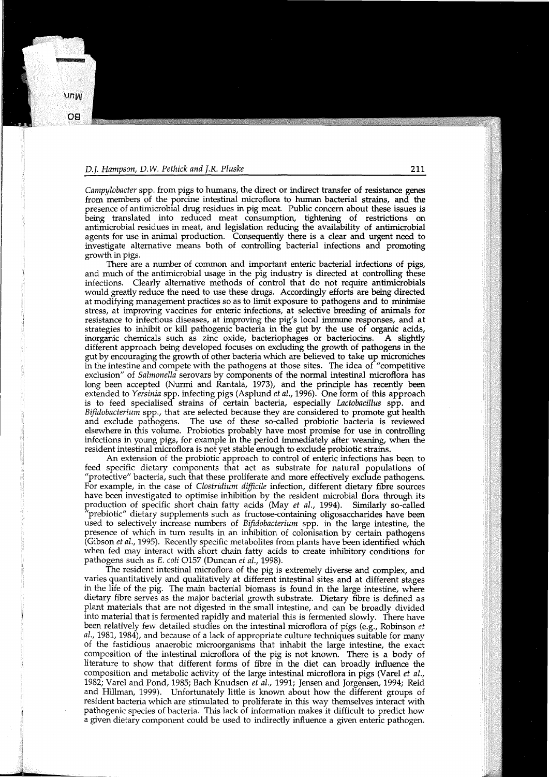*Campylobacter* spp. from pigs to humans, the direct or indirect transfer of resistance genes from members of the porcine intestinal microflora to human bacterial strains, and the presence of antimicrobial drug residues in pig meat. Public concern about these issues is being translated into reduced meat consumption, tightening of restrictions on antimicrobial residues in meat, and legislation reducing the availability of antimicrobial agents for use in animal production. Consequently there is a clear and urgent need to investigate alternative means both of controlling bacterial infections and promoting growth in pigs.

There are a number of common and important enteric bacterial infections of pigs, and much of the antimicrobial usage in the pig industry is directed at controlling these infections. Clearly alternative methods of control that do not require antimicrobials would greatly reduce the need to use these drugs. Accordingly efforts are being directed at modifying management practices so as to limit exposure to pathogens and to minimise stress, at improving vaccines for enteric infections, at selective breeding of animals for resistance to infectious diseases, at improving the pig's local immune responses, and at strategies to inhibit or kill pathogenic bacteria in the gut by the use of organic acids, inorganic chemicals such as zinc oxide, bacteriophages or bacteriocins. A slightly different approach being developed focuses on excluding the growth of pathogens in the gut by encouraging the growth of other bacteria which are believed to take up microniches in the intestine and compete with the pathogens at those sites. The idea of "competitive exclusion" of *Salmonella* serovars by components of the normal intestinal microflora has long been accepted (Nurmi and Rantala, 1973), and the principle has recently been extended to *Yersinia* spp. infecting pigs (Asplund *et al.,* 1996). One form of this approach is to feed specialised strains of certain bacteria, especially *Lactobacillus* spp. and *Bifidobacterium* spp., that are selected because they are considered to promote gut health The use of these so-called probiotic bacteria is reviewed elsewhere in this volume. Probiotics probably have most promise for use in controlling infections in young pigs, for example in the period immediately after weaning, when the resident intestinal microflora is not yet stable enough to exclude probiotic strains.

An extension of the probiotic approach to control of enteric infections has been to feed specific dietary components that act as substrate for natural populations of "protective" bacteria, such that these proliferate and more effectively exclude pathogens. For example, in the case of *Clostridium difficile* infection, different dietary fibre sources have been investigated to optimise inhibition by the resident microbial flora through its production of specific short chain fatty acids (May *et al.,* 1994). Similarly so-called "prebiotic" dietary supplements such as fructose-containing oligosaccharides have been used to selectively increase numbers of *Bifidobacterium* spp. in the large intestine, the presence of which in tum results in an inhibition of colonisation by certain pathogens (Gibson *et al.,* 1995). Recently specific metabolites from plants have been identified which when fed may interact with short chain fatty acids to create inhibitory conditions for pathogens such as E. *coli* 0157 (Duncan *et al.,* 1998).

The resident intestinal microflora of the pig is extremely diverse and complex, and varies quantitatively and qualitatively at different intestinal sites and at different stages in the life of the pig. The main bacterial biomass is found in the large intestine, where dietary fibre serves as the major bacterial growth substrate. Dietary fibre is defined as plant materials that are not digested in the small intestine, and can be broadly divided into material that is fermented rapidly and material this is fermented slowly. There have been relatively few detailed studies on the intestinal microflora of pigs (e.g., Robinson *et al.,* 1981, 1984), and because of a lack of appropriate culture techniques suitable for many of the fastidious anaerobic microorganisms that inhabit the large intestine, the exact composition of the intestinal microflora of the pig is not known. There is a body of literature to show that different forms of fibre in the diet can broadly influence the composition and metabolic activity of the large intestinal microflora in pigs (Varel *et al.,*  1982; Varel and Pond, 1985; Bach Knudsen *et al.,* 1991; Jensen and Jorgensen, 1994; Reid and Hillman, 1999). Unfortunately little is known about how the different groups of resident bacteria which are stimulated to proliferate in this way themselves interact with pathogenic species of bacteria. This lack of information makes it difficult to predict how a given dietary component could be used to indirectly influence a given enteric pathogen.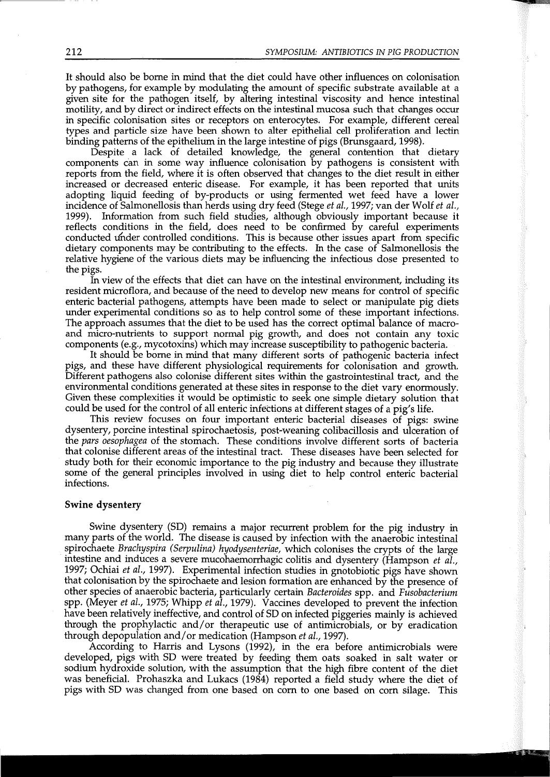It should also be borne in mind that the diet could have other influences on colonisation by pathogens, for example by modulating the amount of specific substrate available at a given site for the pathogen itself, by altering intestinal viscosity and hence intestinal motility, and by direct or indirect effects on the intestinal mucosa such that changes occur in specific colonisation sites or receptors on enterocytes. For example, different cereal types and particle size have been shown to alter epithelial cell proliferation and lectin binding patterns of the epithelium in the large intestine of pigs (Brunsgaard, 1998).

Despite a lack of detailed knowledge, the general contention that dietary components can in some way influence colonisation by pathogens is consistent with reports from the field, where it is often observed that changes to the diet result in either increased or decreased enteric disease. For example, it has been reported that units adopting liquid feeding of by-products or using fermented wet feed have a lower incidence of Salmonellosis than herds using dry feed (Stege *et al.,* 1997; van der Wolf *et al.,*  1999). Information from such field studies, although obviously important because it reflects conditions in the field, does need to be confirmed by careful experiments conducted under controlled conditions. This is because other issues apart from specific dietary components may be contributing to the effects. In the case of Salmonellosis the relative hygiene of the various diets may be influencing the infectious dose presented to the pigs.

In view of the effects that diet can have on the intestinal environment, including its resident microflora, and because of the need to develop new means for control of specific enteric bacterial pathogens, attempts have been made to select or manipulate pig diets under experimental conditions so as to help control some of these important infections. The approach assumes that the diet to be used has the correct optimal balance of macroand micro-nutrients to support normal pig growth, and does not contain any toxic components (e.g., mycotoxins) which may increase susceptibility to pathogenic bacteria.

It should be borne in mind that many different sorts of pathogenic bacteria infect pigs, and these have different physiological requirements for colonisation and growth. Different pathogens also colonise different sites within the gastrointestinal tract, and the environmental conditions generated at these sites in response to the diet vary enormously. Given these complexities it would be optimistic to seek one simple dietary solution that could be used for the control of all enteric infections at different stages of a pig's life.

This review focuses on four important enteric bacterial diseases of pigs: swine dysentery, porcine intestinal spirochaetosis, post-weaning colibacillosis and ulceration of the *pars oesophagea* of the stomach. These conditions involve different sorts of bacteria that colonise different areas of the intestinal tract. These diseases have been selected for study both for their economic importance to the pig industry and because they illustrate some of the general principles involved in using diet to help control enteric bacterial infections.

#### **Swine dysentery**

Swine dysentery (SD) remains a major recurrent problem for the pig industry in many parts of the world. The disease is caused by infection with the anaerobic intestinal spirochaete *Brachyspira (Serpulina) hyodysenteriae,* which colonises the crypts of the large intestine and induces a severe mucohaemorrhagic colitis and dysentery (Hampson *et al.,*  1997; Ochiai *et al.,* 1997). Experimental infection studies in gnotobiotic pigs have shown that colonisation by the spirochaete and lesion formation are enhanced by the presence of other species of anaerobic bacteria, particularly certain *Bacteroides* spp. and *Fusobacterium*  spp. (Meyer *et al.,* 1975; Whipp *et al.,* 1979). Vaccines developed to prevent the infection have been relatively ineffective, and control of SD on infected piggeries mainly is achieved through the prophylactic and/or therapeutic use of antimicrobials, or by eradication through depopulation and/ or medication (Hampson *et al.,* 1997).

According to Harris and Lysons (1992), in the era before antimicrobials were developed, pigs with SD were treated by feeding them oats soaked in salt water or sodium hydroxide solution, with the assumption that the high fibre content of the diet was beneficial. Prohaszka and Lukacs (1984) reported a field study where the diet of pigs with SD was changed from one based on com to one based on corn silage. This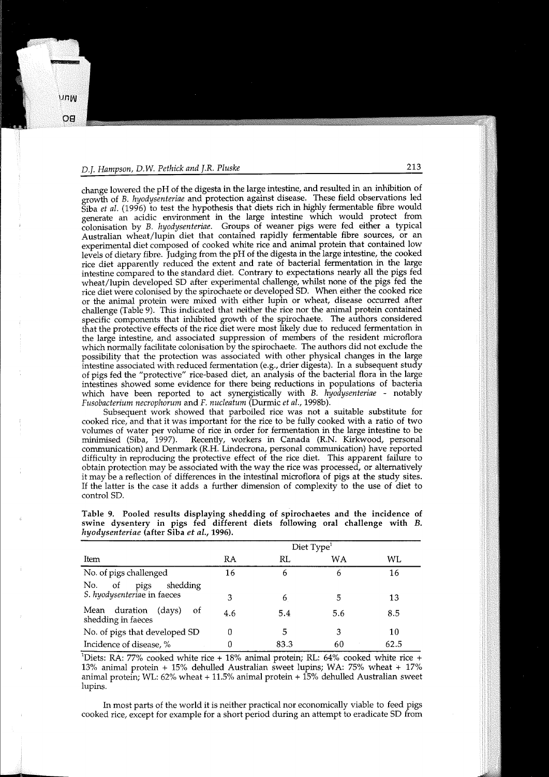change lowered the pH of the digesta in the large intestine, and resulted in an inhibition of growth of B. *hyodysenteriae* and protection against disease. These field observations led Siba *et al.* (1996) to test the hypothesis that diets rich in highly fermentable fibre would generate an acidic environment in the large intestine which would protect from colonisation by *B. hyodysenteriae.* Groups of weaner pigs were fed either a typical Australian wheat/lupin diet that contained rapidly fermentable fibre sources, or an experimental diet composed of cooked white rice and animal protein that contained low levels of dietary fibre. Judging from the pH of the digesta in the large intestine, the cooked rice diet apparently reduced the extent and rate of bacterial fermentation in the large intestine compared to the standard diet. Contrary to expectations nearly all the pigs fed wheat/lupin developed SD after experimental challenge, whilst none of the pigs fed the rice diet were colonised by the spirochaete or developed SD. When either the cooked rice or the animal protein were mixed with either lupin or wheat, disease occurred after challenge (Table 9). This indicated that neither the rice nor the animal protein contained specific components that inhibited growth of the spirochaete. The authors considered that the protective effects of the rice diet were most likely due to reduced fermentation in the large intestine, and associated suppression of members of the resident microflora which normally facilitate colonisation by the spirochaete. The authors did not exclude the possibility that the protection was associated with other physical changes in the large intestine associated with reduced fermentation (e.g., drier digesta). In a subsequent study of pigs fed the "protective" rice-based diet, an analysis of the bacterial flora in the large intestines showed some evidence for there being reductions in populations of bacteria which have been reported to act synergistically with *B. hyodysenteriae* - notably *Fusobacterium necrophorum* and *F. nucleatum* (Durmic *et al.,* 1998b).

Subsequent work showed that parboiled rice was not a suitable substitute for cooked rice, and that it was important for the rice to be fully cooked with a ratio of two volumes of water per volume of rice in order for fermentation in the large intestine to be minimised (Siba, 1997). Recently, workers in Canada (R.N. Kirkwood, personal Recently, workers in Canada (R.N. Kirkwood, personal communication) and Denmark (R.H. Lindecrona, personal communication) have reported difficulty in reproducing the protective effect of the rice diet. This apparent failure to obtain protection may be associated with the way the rice was processed, or alternatively it may be a reflection of differences in the intestinal microflora of pigs at the study sites. If the latter is the case it adds a further dimension of complexity to the use of diet to control SD.

|                                                     | Diet $Type1$ |      |     |      |  |
|-----------------------------------------------------|--------------|------|-----|------|--|
| Item                                                | RA           | RL   | WA  | WL.  |  |
| No. of pigs challenged                              | 16           | 6    | b   | 16   |  |
| pigs<br>shedding<br>No.<br>0f                       |              |      |     |      |  |
| S. hyodysenteriae in faeces                         | З            | 6    | 5   | 13   |  |
| Mean duration<br>(days)<br>οf<br>shedding in faeces | 4.6          | 5.4  | 5.6 | 8.5  |  |
| No. of pigs that developed SD                       | 0            | 5    | 3   | 10   |  |
| Incidence of disease, %                             | 0            | 83.3 | 60  | 62.5 |  |

Table 9. Pooled results displaying shedding of spirochaetes and the incidence of swine dysentery in pigs fed different diets following oral challenge with *B. hyodysenteriae* (after Siba *et al.,* 1996).

<sup>1</sup>Diets: RA: 77% cooked white rice + 18% animal protein; RL: 64% cooked white rice + 13% animal protein + 15% dehulled Australian sweet lupins; WA: 75% wheat + 17% animal protein; WL:  $62\%$  wheat  $+$  11.5% animal protein  $+$  15% dehulled Australian sweet lupins.

In most parts of the world it is neither practical nor economically viable to feed pigs cooked rice, except for example for a short period during an attempt to eradicate SD from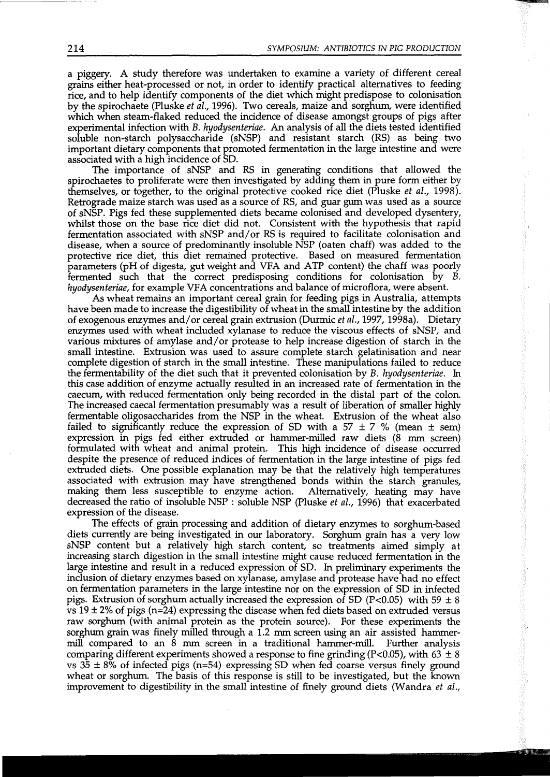a piggery. A study therefore was undertaken to examine a variety of different cereal grains either heat-processed or not, in order to identify practical alternatives to feeding rice, and to help identify components of the diet which might predispose to colonisation by the spirochaete (Pluske *et al.,* 1996). Two cereals, maize and sorghum, were identified which when steam-flaked reduced the incidence of disease amongst groups of pigs after experimental infection with *B. hyodysenteriae.* An analysis of all the diets tested identified soluble non-starch polysaccharide (sNSP) and resistant starch (RS) as being two important dietary components that promoted fermentation in the large intestine and were associated with a high incidence of SD.

The importance of sNSP and RS in generating conditions that allowed the spirochaetes to proliferate were then investigated by adding them in pure form either by themselves, or together, to the original protective cooked rice diet (Pluske *et al.,* 1998). Retrograde maize starch was used as a source of RS, and guar gum was used as a source of sNSP. Pigs fed these supplemented diets became colonised and developed dysentery, whilst those on the base rice diet did not. Consistent with the hypothesis that rapid fermentation associated with sNSP and/or RS is required to facilitate colonisation and disease, when a source of predominantly insoluble NSP (oaten chaff) was added to the protective rice diet, this diet remained protective. Based on measured fermentation parameters (pH of digesta, gut weight and VFA and ATP content) the chaff was poorly fermented such that the correct predisposing conditions for colonisation by B. *hyodysenteriae,* for example VFA concentrations and balance of microflora, were absent.

As wheat remains an important cereal grain for feeding pigs in Australia, attempts have been made to increase the digestibility of wheat in the small intestine by the addition of exogenous enzymes and/ or cereal grain extrusion (Durmic *et al.,* 1997, 1998a). Dietary enzymes used with wheat included xylanase to reduce the viscous effects of sNSP, and various mixtures of amylase and/ or protease to help increase digestion of starch in the small intestine. Extrusion was used to assure complete starch gelatinisation and near complete digestion of starch in the small intestine. These manipulations failed to reduce the fermentability of the diet such that it prevented colonisation by B. *hyodysenteriae.* In this case addition of enzyme actually resulted in an increased rate of fermentation in the caecum, with reduced fermentation only being recorded in the distal part of the colon. The increased caecal fermentation presumably was a result of liberation of smaller highly fermentable oligosaccharides from the NSP in the wheat. Extrusion of the wheat also failed to significantly reduce the expression of SD with a 57  $\pm$  7 % (mean  $\pm$  sem) expression in pigs fed either extruded or hammer-milled raw diets (8 mm screen) formulated with wheat and animal protein. This high incidence of disease occurred despite the presence of reduced indices of fermentation in the large intestine of pigs fed extruded diets. One possible explanation may be that the relatively high temperatures associated with extrusion may have strengthened bonds within the starch granules, making them less susceptible to enzyme action. Alternatively, heating may have decreased the ratio of insoluble NSP : soluble NSP (Pluske *et al.,* 1996) that exacerbated expression of the disease.

The effects of grain processing and addition of dietary enzymes to sorghum-based diets currently are being investigated in our laboratory. Sorghum grain has a very low sNSP content but a relatively high starch content, so treatments aimed simply at increasing starch digestion in the small intestine might cause reduced fermentation in the large intestine and result in a reduced expression of SD. In preliminary experiments the inclusion of dietary enzymes based on xylanase, amylase and protease have had no effect on fermentation parameters in the large intestine nor on the expression of SD in infected pigs. Extrusion of sorghum actually increased the expression of SD (P<0.05) with 59  $\pm$  8 vs  $19 \pm 2\%$  of pigs (n=24) expressing the disease when fed diets based on extruded versus raw sorghum (with animal protein as the protein source). For these experiments the sorghum grain was finely milled through a 1.2 mm screen using an air assisted hammermill compared to an 8 mm screen in a traditional hammer-mill. Further analysis comparing different experiments showed a response to fine grinding (P<0.05), with 63  $\pm$  8 vs  $35 \pm 8\%$  of infected pigs (n=54) expressing SD when fed coarse versus finely ground wheat or sorghum. The basis of this response is still to be investigated, but the known improvement to digestibility in the small intestine of finely ground diets (Wandra *et al.,*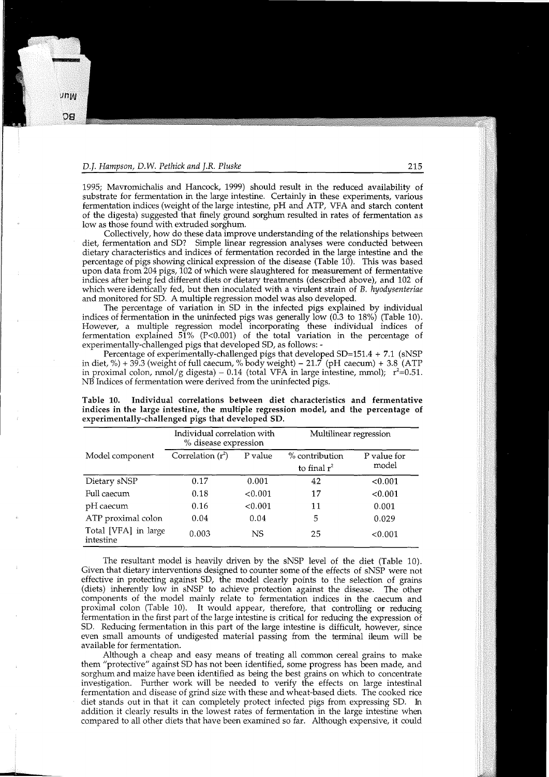1995; Mavrornichalis and Hancock, 1999) should result in the reduced availability of substrate for fermentation in the large intestine. Certainly in these experiments, various fermentation indices (weight of the large intestine, pH and ATP, VFA and starch content of the digesta) suggested that finely ground sorghum resulted in rates of fermentation as low as those found with extruded sorghum.

Collectively, how do these data improve understanding of the relationships between diet, fermentation and SD? Simple linear regression analyses were conducted between dietary characteristics and indices of fermentation recorded in the large intestine and the percentage of pigs showing clinical expression of the disease (Table 10). This was based upon data from 204 pigs, 102 of which were slaughtered for measurement of fermentative indices after being fed different diets or dietary treatments (described above), and 102 of which were identically fed, but then inoculated with a virulent strain of *B. hyodysenteriae*  and monitored for SD. A multiple regression model was also developed.

The percentage of variation in SD in the infected pigs explained by individual indices of fermentation in the uninfected pigs was generally low (0.3 to 18%) (Table 10). However, a multiple regression model incorporating these individual indices of fermentation explained  $51\%$  (P<0.001) of the total variation in the percentage of experimentally-challenged pigs that developed SD, as follows: -

Percentage of experimentally-challenged pigs that developed SD=151.4 + 7.1 (sNSP in diet, %) + 39.3 (weight of full caecum, % body weight) –  $21.7$  (pH caecum) + 3.8 (ATP in proximal colon, nmol/g digesta) – 0.14 (total VFA in large intestine, mmol);  $r^2=0.51$ . NB Indices of fermentation were derived from the uninfected pigs.

|                                   | Individual correlation with<br>% disease expression |         | Multilinear regression           |                      |  |  |
|-----------------------------------|-----------------------------------------------------|---------|----------------------------------|----------------------|--|--|
| Model component                   | Correlation $(r^2)$                                 | P value | % contribution<br>to final $r^2$ | P value for<br>model |  |  |
| Dietary sNSP                      | 0.17                                                | 0.001   | 42                               | < 0.001              |  |  |
| Full caecum                       | 0.18                                                | < 0.001 | 17                               | < 0.001              |  |  |
| pH caecum                         | 0.16                                                | < 0.001 | 11                               | 0.001                |  |  |
| ATP proximal colon                | 0.04                                                | 0.04    | 5                                | 0.029                |  |  |
| Total [VFA] in large<br>intestine | 0.003                                               | NS      | 25                               | < 0.001              |  |  |

Table 10. Individual correlations between diet characteristics and fermentative indices in the large intestine, the multiple regression model, and the percentage of experimentally-challenged pigs that developed SD.

The resultant model is heavily driven by the sNSP level of the diet (Table 10). Given that dietary interventions designed to counter some of the effects of sNSP were not effective in protecting against SD, the model clearly points to the selection of grains (diets) inherently low in sNSP to achieve protection against the disease. The other components of the model mainly relate to fermentation indices in the caecum and proximal colon (Table 10). It would appear, therefore, that controlling or reducing fermentation in the first part of the large intestine is critical for reducing the expression of SD. Reducing fermentation in this part of the large intestine is difficult, however, since even small amounts of undigested material passing from the terminal ileum will be available for fermentation.

Although a cheap and easy means of treating all common cereal grains to make them "protective" against SD has not been identified, some progress has been made, and sorghum and maize have been identified as being the best grains on which to concentrate investigation. Further work will be needed to verify the effects on large intestinal fermentation and disease of grind size with these and wheat-based diets. The cooked rice diet stands out in that it can completely protect infected pigs from expressing SD. In addition it clearly results in the lowest rates of fermentation in the large intestine when compared to all other diets that have been examined so far. Although expensive, it could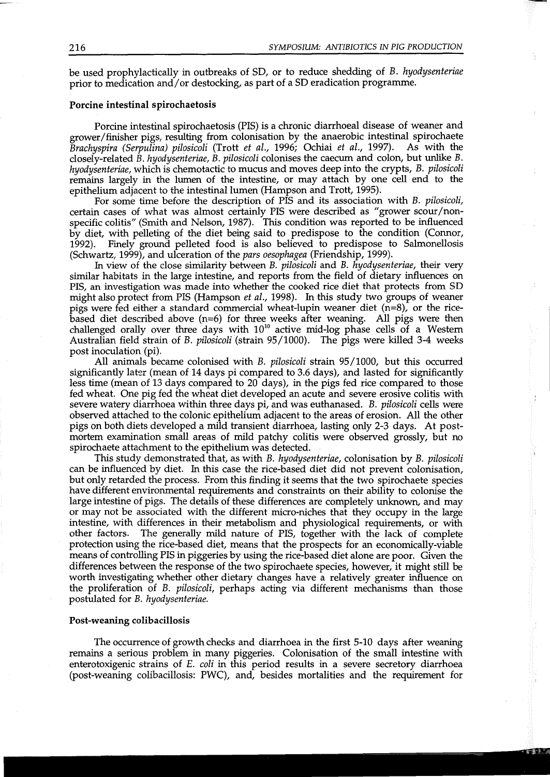be used prophylactically in outbreaks of SD, or to reduce shedding of *B. hyodysenteriae*  prior to medication and/ or destocking, as part of a SD eradication programme.

#### Porcine intestinal spirochaetosis

Porcine intestinal spirochaetosis (PIS) is a chronic diarrhoeal disease of weaner and grower/finisher pigs, resulting from colonisation by the anaerobic intestinal spirochaete *Brachyspira (Serpulina) pilosicoli* (Trott *et al.,* 1996; Ochiai *et al.,* 1997). As with the closely-related *B. hyodysenteriae, B. pilosicoli* colonises the caecum and colon, but unlike *B. hyodysenteriae,* which is chemotactic to mucus and moves deep into the crypts, *B. pilosicoli*  remains largely in the lumen of the intestine, or may attach by one cell end to the epithelium adjacent to the intestinal lumen (Hampson and Trott, 1995).

For some time before the description of PIS and its association with *B. pilosicoli,*  certain cases of what was almost certainly PIS were described as "grower scour/nonspecific colitis" (Smith and Nelson, 1987). This condition was reported to be influenced by diet, with pelleting of the diet being said to predispose to the condition (Connor, 1992). Finely ground pelleted food is also believed to predispose to Salmonellosis (Schwartz, 1999), and ulceration of the *pars oesophagea* (Friendship, 1999).

In view of the close similarity between *B. pilosicoli* and *B. hyodysenteriae,* their very similar habitats in the large intestine, and reports from the field of dietary influences on PIS, an investigation was made into whether the cooked rice diet that protects from SD might also protect from PIS (Hampson *et al.,* 1998). In this study two groups of weaner pigs were fed either a standard commercial wheat-lupin weaner diet (n=8), or the ricebased diet described above (n=6) for three weeks after weaning. All pigs were then challenged orally over three days with  $10^{10}$  active mid-log phase cells of a Western Australian field strain of *B. pilosicoli* (strain 95/1000). The pigs were killed 3-4 weeks post inoculation (pi).

All animals became colonised with *B. pilosicoli* strain 95/1000, but this occurred significantly later (mean of 14 days pi compared to 3.6 days), and lasted for significantly less time (mean of 13 days compared to 20 days), in the pigs fed rice compared to those fed wheat. One pig fed the wheat diet developed an acute and severe erosive colitis with severe watery diarrhoea within three days pi, and was euthanased. *B. pilosicoli* cells were observed attached to the colonic epithelium adjacent to the areas of erosion. All the other pigs on both diets developed a mild transient diarrhoea, lasting only 2-3 days. At postmortem examination small areas of mild patchy colitis were observed grossly, but no spirochaete attachment to the epithelium was detected.

This study demonstrated that, as with *B. hyodysenteriae,* colonisation by *B. pilosicoli*  can be influenced by diet. In this case the rice-based diet did not prevent colonisation, but only retarded the process. From this finding it seems that the two spirochaete species have different environmental requirements and constraints on their ability to colonise the large intestine of pigs. The details of these differences are completely unknown, and may or may not be associated with the different micro-niches that they occupy in the large intestine, with differences in their metabolism and physiological requirements, or with other factors. The generally mild nature of PIS, together with the lack of complete protection using the rice-based diet, means that the prospects for an economically-viable means of controlling PIS in piggeries by using the rice-based diet alone are poor. Given the differences between the response of the two spirochaete species, however, it might still be worth investigating whether other dietary changes have a relatively greater influence on the proliferation of *B. pilosicoli,* perhaps acting via different mechanisms than those postulated for *B. hyodysenteriae.* 

#### Post-weaning colibacillosis

The occurrence of growth checks and diarrhoea in the first 5-10 days after weaning remains a serious problem in many piggeries. Colonisation of the small intestine with enterotoxigenic strains of *E. coli* in this period results in a severe secretory diarrhoea (post-weaning colibacillosis: PWC), and, besides mortalities and the requirement for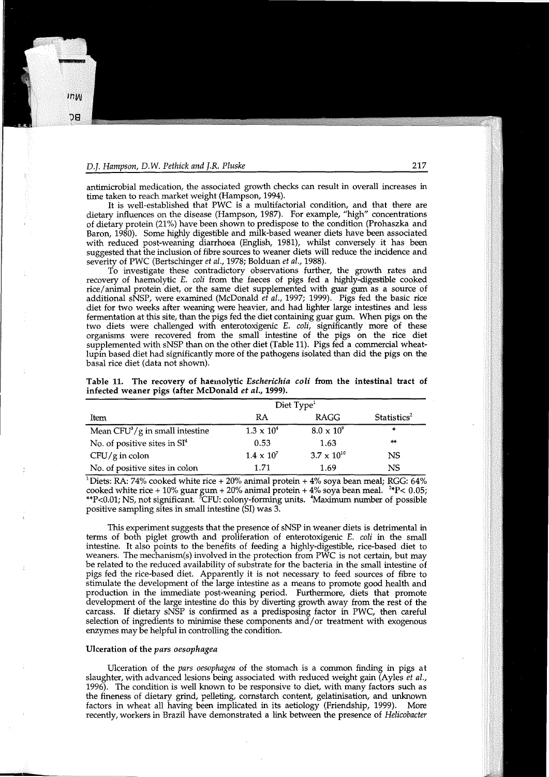antimicrobial medication, the associated growth checks can result in overall increases in time taken to reach market weight (Hampson, 1994).

It is well-established that PWC is a multifactorial condition, and that there are dietary influences on the disease (Hampson, 1987). For example, "high" concentrations of dietary protein (21%) have been shown to predispose to the condition (Prohaszka and Baron, 1980). Some highly digestible and milk-based weaner diets have been associated with reduced post-weaning diarrhoea (English, 1981), whilst conversely it has been suggested that the inclusion of fibre sources to weaner diets will reduce the incidence and severity of PWC (Bertschinger *et al.,* 1978; Bolduan *et al.,* 1988).

To investigate these contradictory observations further, the growth rates and recovery of haemolytic *E. coli* from the faeces of pigs fed a highly-digestible cooked rice/ animal protein diet, or the same diet supplemented with guar gum as a source of additional sNSP, were examined (McDonald *et al.,* 1997; 1999). Pigs fed the basic rice diet for two weeks after weaning were heavier, and had lighter large intestines and less fermentation at this site, than the pigs fed the diet containing guar gum. When pigs on the two diets were challenged with enterotoxigenic E. *coli,* significantly more of these organisms were recovered from the small intestine of the pigs on the rice diet supplemented with sNSP than on the other diet (Table 11). Pigs fed a commercial wheatlupin based diet had significantly more of the pathogens isolated than did the pigs on the basal rice diet (data not shown).

|  | Table 11. The recovery of haemolytic Escherichia coli from the intestinal tract of |  |  |  |  |
|--|------------------------------------------------------------------------------------|--|--|--|--|
|  | infected weaner pigs (after McDonald et al., 1999).                                |  |  |  |  |

|                                   | Diet $Type1$        |                      |                         |  |  |
|-----------------------------------|---------------------|----------------------|-------------------------|--|--|
| Item                              | RA                  | RAGG                 | Statistics <sup>2</sup> |  |  |
| Mean $CFU^3/g$ in small intestine | $1.3 \times 10^{4}$ | $8.0 \times 10^9$    | $\mathbf{x}_t$          |  |  |
| No. of positive sites in $SI^4$   | 0.53                | 1.63                 | $+ +$                   |  |  |
| $CFU/g$ in colon                  | $1.4 \times 10^{7}$ | $3.7 \times 10^{10}$ | <b>NS</b>               |  |  |
| No. of positive sites in colon    | 1.71                | 1.69                 | <b>NS</b>               |  |  |

 $^1$ Diets: RA: 74% cooked white rice + 20% animal protein + 4% soya bean meal; RGG: 64% cooked white rice + 10% guar gum + 20% animal protein + 4% soya bean meal.  $2*P < 0.05$ ; \*\*P<0.01; NS, not significant. <sup>3</sup>CFU: colony-forming units. <sup>4</sup>Maximum number of possible positive sampling sites in small intestine (SI) was 3.

This experiment suggests that the presence of sNSP in weaner diets is detrimental in terms of both piglet growth and proliferation of enterotoxigenic E. *coli* in the small intestine. It also points to the benefits of feeding a highly-digestible, rice-based diet to weaners. The mechanism(s) involved in the protection from PWC is not certain, but may be related to the reduced availability of substrate for the bacteria in the small intestine of pigs fed the rice-based diet. Apparently it is not necessary to feed sources of fibre to stimulate the development of the large intestine as a means to promote good health and production in the immediate post-weaning period. Furthermore, diets that promote development of the large intestine do this by diverting growth away from the rest of the carcass. If dietary sNSP is confirmed as a predisposing factor in PWC, then careful selection of ingredients to minimise these components and/or treatment with exogenous enzymes may be helpful in controlling the condition.

#### Ulceration of the *pars oesophagea*

Ulceration of the *pars oesophagea* of the stomach is a common finding in pigs at slaughter, with advanced lesions being associated with reduced weight gain (Ayles *et al.,*  1996). The condition is well known to be responsive to diet, with many factors such as the fineness of dietary grind, pelleting, cornstarch content, gelatinisation, and unknown factors in wheat all having been implicated in its aetiology (Friendship, 1999). More recently, workers in Brazil have demonstrated a link between the presence of *Helicobacter*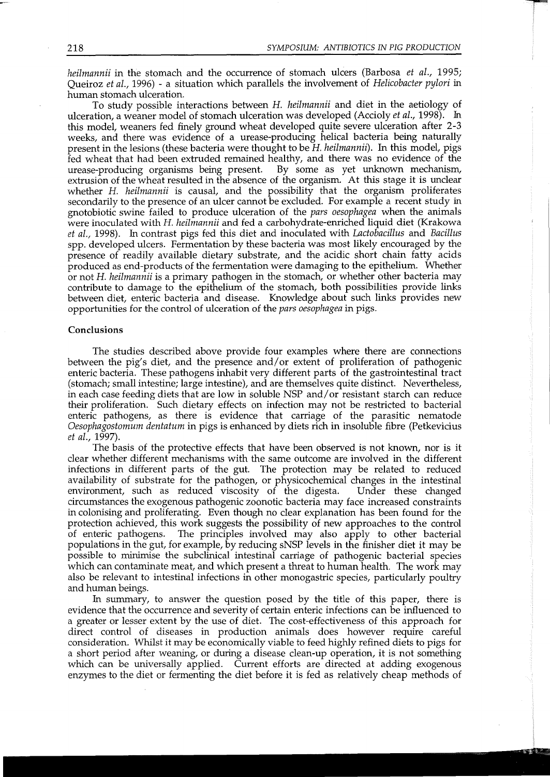*heilmannii* in the stomach and the occurrence of stomach ulcers (Barbosa *et al.*, 1995; Queiroz *et al.,* 1996) - a situation which parallels the involvement of *Helicobacter pylori* in human stomach ulceration.

To study possible interactions between *H. heilmannii* and diet in the aetiology of ulceration, a weaner model of stomach ulceration was developed (Accioly *et al.,* 1998). In this model, weaners fed finely ground wheat developed quite severe ulceration after 2-3 weeks, and there was evidence of a urease-producing helical bacteria being naturally present in the lesions (these bacteria were thought to be *H. heilmannii).* In this model, pigs fed wheat that had been extruded remained healthy, and there was no evidence of the urease-producing organisms being present. By some as yet unknown mechanism, extrusion of the wheat resulted in the absence of the organism. At this stage it is unclear whether *H. heilmannii* is causal, and the possibility that the organism proliferates secondarily to the presence of an ulcer cannot be excluded. For example a recent study in gnotobiotic swine failed to produce ulceration of the *pars oesophagea* when the animals were inoculated with *H. heilmannii* and fed a carbohydrate-enriched liquid diet (Krakowa *et al.,* 1998). In contrast pigs fed this diet and inoculated with *Lactobacillus* and *Bacillus*  spp. developed ulcers. Fermentation by these bacteria was most likely encouraged by the presence of readily available dietary substrate, and the acidic short chain fatty acids produced as end-products of the fermentation were damaging to the epithelium. Whether or not *H. heilmannii* is a primary pathogen in the stomach, or whether other bacteria may contribute to damage to the epithelium of the stomach, both possibilities provide links between diet, enteric bacteria and disease. Knowledge about such links provides new opportunities for the control of ulceration of the *pars oesophagea* in pigs.

### Conclusions

The studies described above provide four examples where there are connections between the pig's diet, and the presence and/or extent of proliferation of pathogenic enteric bacteria. These pathogens inhabit very different parts of the gastrointestinal tract (stomach; small intestine; large intestine), and are themselves quite distinct. Nevertheless, in each case feeding diets that are low in soluble NSP and/ or resistant starch can reduce their proliferation. Such dietary effects on infection may not be restricted to bacterial enteric pathogens, as there is evidence that carriage of the parasitic nematode *Oesophagostomum dentatum* in pigs is enhanced by diets rich in insoluble fibre (Petkevicius *et al.,* 1997).

The basis of the protective effects that have been observed is not known, nor is it clear whether different mechanisms with the same outcome are involved in the different infections in different parts of the gut. The protection may be related to reduced availability of substrate for the pathogen, or physicochemical changes in the intestinal environment, such as reduced viscosity of the digesta. Under these changed circumstances the exogenous pathogenic zoonotic bacteria may face increased constraints in colonising and proliferating. Even though no clear explanation has been found for the protection achieved, this work suggests the possibility of new approaches to the control of enteric pathogens. The principles involved may also apply to other bacterial populations in the gut, for example, by reducing sNSP levels in the finisher diet it may be possible to minimise the subclinical intestinal carriage of pathogenic bacterial species which can contaminate meat, and which present a threat to human health. The work may also be relevant to intestinal infections in other monogastric species, particularly poultry and human beings.

In summary, to answer the question posed by the title of this paper, there is evidence that the occurrence and severity of certain enteric infections can be influenced to a greater or lesser extent by the use of diet. The cost-effectiveness of this approach for direct control of diseases in production animals does however require careful consideration. Whilst it may be economically viable to feed highly refined diets to pigs for a short period after weaning, or during a disease clean-up operation, it is not something which can be universally applied. Current efforts are directed at adding exogenous enzymes to the diet or fermenting the diet before it is fed as relatively cheap methods of